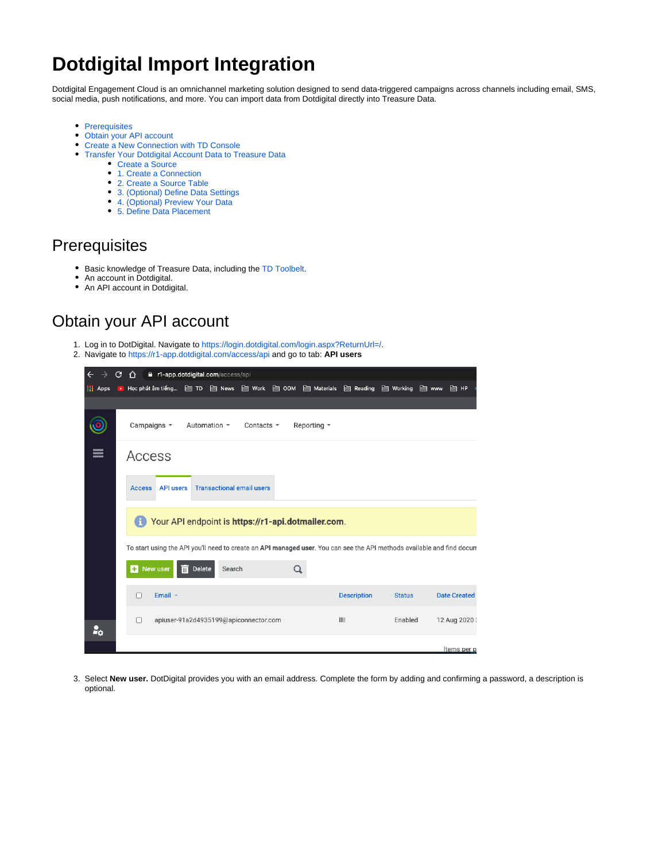# **Dotdigital Import Integration**

Dotdigital Engagement Cloud is an omnichannel marketing solution designed to send data-triggered campaigns across channels including email, SMS, social media, push notifications, and more. You can import data from Dotdigital directly into Treasure Data.

- **•** [Prerequisites](#page-0-0)
- [Obtain your API account](#page-0-1)
- [Create a New Connection with TD Console](#page-1-0)
- [Transfer Your Dotdigital Account Data to Treasure Data](#page-2-0)
	- [Create a Source](#page-2-1)
	- [1. Create a Connection](#page-2-2)
	- [2. Create a Source Table](#page-2-3)
	- [3. \(Optional\) Define Data Settings](#page-3-0)
	- [4. \(Optional\) Preview Your Data](#page-3-1)
	- [5. Define Data Placement](#page-4-0)

### <span id="page-0-0"></span>**Prerequisites**

- **Basic knowledge of Treasure Data, including the [TD Toolbelt.](https://toolbelt.treasuredata.com/)**
- An account in Dotdigital.
- An API account in Dotdigital.

### <span id="page-0-1"></span>Obtain your API account

- 1. Log in to DotDigital. Navigate to [https://login.dotdigital.com/login.aspx?ReturnUrl=/.](https://login.dotdigital.com/login.aspx?ReturnUrl=/)
- 2. Navigate to<https://r1-app.dotdigital.com/access/api> and go to tab: **API users**

| $\leftarrow$<br><b>a</b> r1-app.dotdigital.com/access/api<br>С<br>∩ |                                                                                                                        |              |                                       |        |                 |  |                                                                  |                    |                |       |                     |
|---------------------------------------------------------------------|------------------------------------------------------------------------------------------------------------------------|--------------|---------------------------------------|--------|-----------------|--|------------------------------------------------------------------|--------------------|----------------|-------|---------------------|
| $\frac{1}{2}$ Apps                                                  | $\sim$                                                                                                                 |              |                                       |        |                 |  | Học phát âm tiếng □ TD □ News □ Work □ OOM □ Materials □ Reading |                    | $\Box$ Working | m www | $\mathbb{M}$ HP     |
|                                                                     |                                                                                                                        |              |                                       |        |                 |  |                                                                  |                    |                |       |                     |
|                                                                     |                                                                                                                        | Campaigns *  | Automation *                          |        | Contacts $\sim$ |  | Reporting *                                                      |                    |                |       |                     |
| $\equiv$                                                            |                                                                                                                        | Access       |                                       |        |                 |  |                                                                  |                    |                |       |                     |
|                                                                     | <b>API users</b><br><b>Transactional email users</b><br><b>Access</b>                                                  |              |                                       |        |                 |  |                                                                  |                    |                |       |                     |
|                                                                     | Your API endpoint is https://r1-api.dotmailer.com.<br>H.                                                               |              |                                       |        |                 |  |                                                                  |                    |                |       |                     |
|                                                                     | To start using the API you'll need to create an API managed user. You can see the API methods available and find docum |              |                                       |        |                 |  |                                                                  |                    |                |       |                     |
|                                                                     |                                                                                                                        |              |                                       |        |                 |  |                                                                  |                    |                |       |                     |
|                                                                     | ÷                                                                                                                      | New user     | 而<br>Delete                           | Search |                 |  |                                                                  |                    |                |       |                     |
|                                                                     | П                                                                                                                      | Email $\sim$ |                                       |        |                 |  |                                                                  | <b>Description</b> | <b>Status</b>  |       | <b>Date Created</b> |
| Σo.                                                                 | П                                                                                                                      |              | apiuser-91a2d4935199@apiconnector.com |        |                 |  |                                                                  | III                | Enabled        |       | 12 Aug 2020 :       |
|                                                                     |                                                                                                                        |              |                                       |        |                 |  |                                                                  |                    |                |       | Items per p         |

3. Select **New user.** DotDigital provides you with an email address. Complete the form by adding and confirming a password, a description is optional.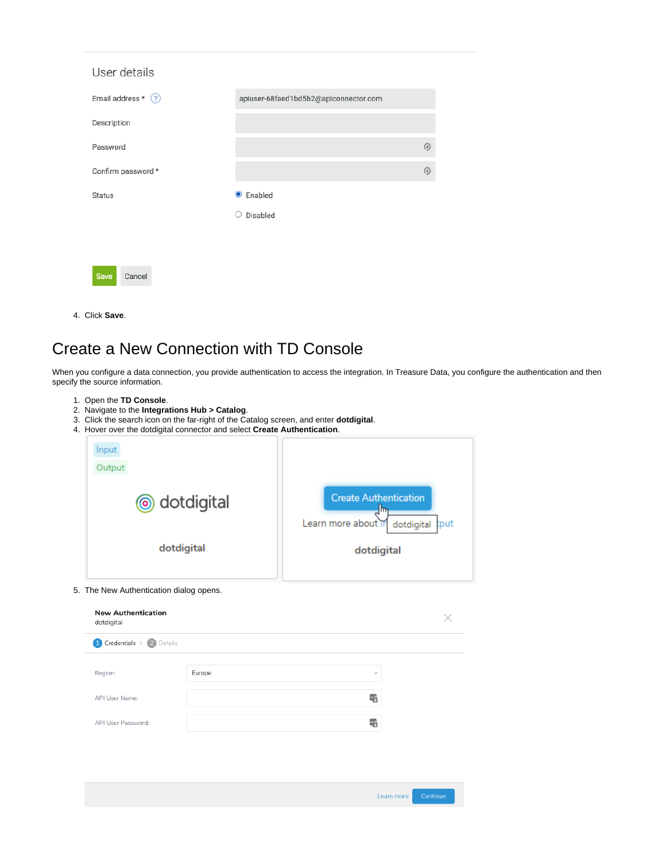| User details            |                                       |   |
|-------------------------|---------------------------------------|---|
| Email address $*$ $(?)$ | apiuser-68faed1bd5b2@apiconnector.com |   |
| Description             |                                       |   |
| Password                |                                       | ⊕ |
| Confirm password *      |                                       | ۵ |
| <b>Status</b>           | $\bullet$ Enabled                     |   |
|                         | Disabled<br>O                         |   |
|                         |                                       |   |
| <b>Save</b><br>Cancel   |                                       |   |

4. Click **Save**.

## <span id="page-1-0"></span>Create a New Connection with TD Console

When you configure a data connection, you provide authentication to access the integration. In Treasure Data, you configure the authentication and then specify the source information.

- 1. Open the **TD Console**.
- 2. Navigate to the **Integrations Hub > Catalog**.
- 3. Click the search icon on the far-right of the Catalog screen, and enter **dotdigital**.
- 4. Hover over the dotdigital connector and select **Create Authentication**.

| Input<br>Output |                                                                                  |
|-----------------|----------------------------------------------------------------------------------|
| o dotdigital    | <b>Create Authentication</b><br>llm<br>Learn more about in<br>dotdigital<br>tput |
| dotdigital      | dotdigital                                                                       |

#### 5. The New Authentication dialog opens.

| Region:            | Europe | $\checkmark$ |  |
|--------------------|--------|--------------|--|
| API User Name:     |        | 暑            |  |
| API User Password: |        | 暑            |  |

Learn more Continue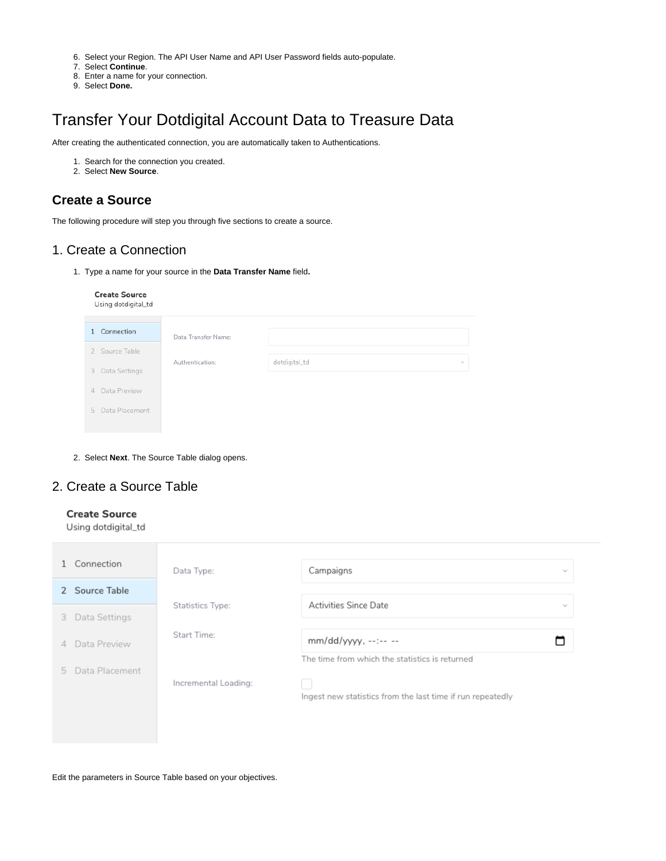- 6. Select your Region. The API User Name and API User Password fields auto-populate.
- 7. Select **Continue**.
- 8. Enter a name for your connection.
- 9. Select **Done.**

## <span id="page-2-0"></span>Transfer Your Dotdigital Account Data to Treasure Data

After creating the authenticated connection, you are automatically taken to Authentications.

- 1. Search for the connection you created.
- 2. Select **New Source**.

#### <span id="page-2-1"></span>**Create a Source**

The following procedure will step you through five sections to create a source.

#### <span id="page-2-2"></span>1. Create a Connection

1. Type a name for your source in the **Data Transfer Name** field**.**

#### **Create Source** Using dotdigital\_td

| 1 Connection     | Data Transfer Name: |               |        |
|------------------|---------------------|---------------|--------|
| 2 Source Table   |                     |               |        |
| 3 Data Settings  | Authentication:     | dotdigital_td | $\sim$ |
| 4 Data Preview   |                     |               |        |
| 5 Data Placement |                     |               |        |
|                  |                     |               |        |

2. Select **Next**. The Source Table dialog opens.

#### <span id="page-2-3"></span>2. Create a Source Table

#### **Create Source**

Using dotdigital\_td

| Connection       | Data Type:              | Campaigns<br>$\mathcal{L}_{\mathbf{p}}$                    |        |  |  |
|------------------|-------------------------|------------------------------------------------------------|--------|--|--|
| 2 Source Table   |                         |                                                            |        |  |  |
| 3 Data Settings  | <b>Statistics Type:</b> | Activities Since Date                                      | $\sim$ |  |  |
| 4 Data Preview   | Start Time:             | mm/dd/yyyy, --:-- --                                       |        |  |  |
| 5 Data Placement | Incremental Loading:    | The time from which the statistics is returned             |        |  |  |
|                  |                         | Ingest new statistics from the last time if run repeatedly |        |  |  |
|                  |                         |                                                            |        |  |  |

Edit the parameters in Source Table based on your objectives.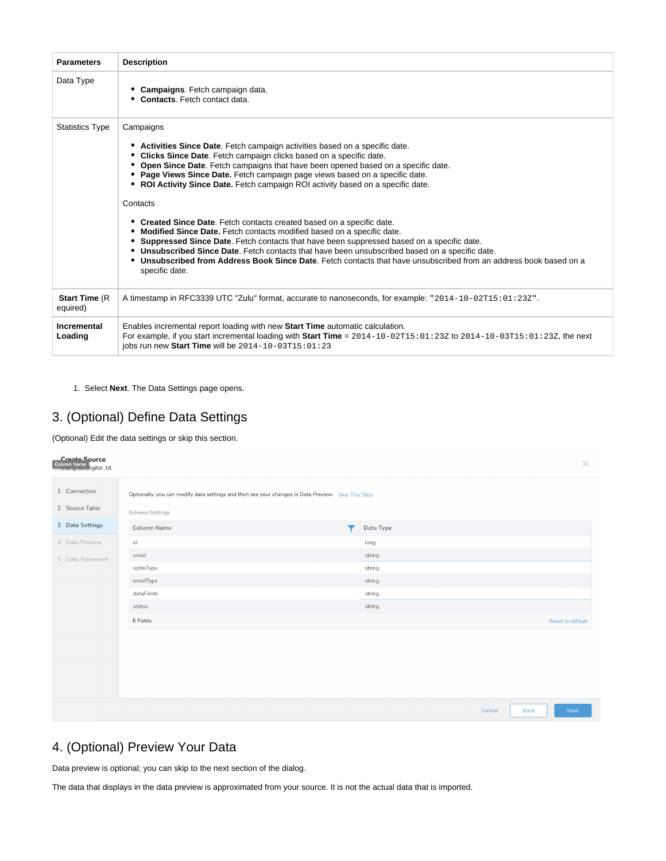| <b>Parameters</b>                 | <b>Description</b>                                                                                                                                                                                                                                                                                                                                                                                                                                                                                                                                                                                                                                                                                                                                                                                                                                                                                                          |
|-----------------------------------|-----------------------------------------------------------------------------------------------------------------------------------------------------------------------------------------------------------------------------------------------------------------------------------------------------------------------------------------------------------------------------------------------------------------------------------------------------------------------------------------------------------------------------------------------------------------------------------------------------------------------------------------------------------------------------------------------------------------------------------------------------------------------------------------------------------------------------------------------------------------------------------------------------------------------------|
| Data Type                         | Campaigns. Fetch campaign data.<br><b>Contacts.</b> Fetch contact data.                                                                                                                                                                                                                                                                                                                                                                                                                                                                                                                                                                                                                                                                                                                                                                                                                                                     |
| <b>Statistics Type</b>            | Campaigns<br>Activities Since Date. Fetch campaign activities based on a specific date.<br>Clicks Since Date. Fetch campaign clicks based on a specific date.<br>Open Since Date. Fetch campaigns that have been opened based on a specific date.<br>• Page Views Since Date. Fetch campaign page views based on a specific date.<br>• ROI Activity Since Date. Fetch campaign ROI activity based on a specific date.<br>Contacts<br>• Created Since Date. Fetch contacts created based on a specific date.<br>Modified Since Date. Fetch contacts modified based on a specific date.<br>Suppressed Since Date. Fetch contacts that have been suppressed based on a specific date.<br>• Unsubscribed Since Date. Fetch contacts that have been unsubscribed based on a specific date.<br>Unsubscribed from Address Book Since Date. Fetch contacts that have unsubscribed from an address book based on a<br>specific date. |
| <b>Start Time (R)</b><br>equired) | A timestamp in RFC3339 UTC "Zulu" format, accurate to nanoseconds, for example: "2014-10-02T15:01:23Z".                                                                                                                                                                                                                                                                                                                                                                                                                                                                                                                                                                                                                                                                                                                                                                                                                     |
| Incremental<br>Loading            | Enables incremental report loading with new Start Time automatic calculation.<br>For example, if you start incremental loading with Start Time = $2014-10-02T15:01:23Z$ to $2014-10-03T15:01:23Z$ , the next<br>iobs run new Start Time will be $2014 - 10 - 03T15:01:23$                                                                                                                                                                                                                                                                                                                                                                                                                                                                                                                                                                                                                                                   |

1. Select **Next**. The Data Settings page opens.

#### <span id="page-3-0"></span>3. (Optional) Define Data Settings

(Optional) Edit the data settings or skip this section.

| Create Source<br>Column Name<br>Columny doculigital_td |                                                                                                                       | $\times$                      |
|--------------------------------------------------------|-----------------------------------------------------------------------------------------------------------------------|-------------------------------|
| 1 Connection<br>2 Source Table                         | Optionally, you can modify data settings and then see your changes in Data Preview. Skip This Step<br>Schema Settings |                               |
| 3 Data Settings                                        | Column Name<br>▼                                                                                                      | Data Type                     |
| 4 Data Preview                                         | id                                                                                                                    | long                          |
| 5 Data Placement                                       | email                                                                                                                 | string                        |
|                                                        | optinType                                                                                                             | string                        |
|                                                        | emailType                                                                                                             | string                        |
|                                                        | dataFields                                                                                                            | string                        |
|                                                        | status                                                                                                                | string                        |
|                                                        | 6 Fields                                                                                                              | Reset to default              |
|                                                        |                                                                                                                       |                               |
|                                                        |                                                                                                                       |                               |
|                                                        |                                                                                                                       | Cancel<br><b>Back</b><br>Next |

### <span id="page-3-1"></span>4. (Optional) Preview Your Data

Data preview is optional; you can skip to the next section of the dialog.

The data that displays in the data preview is approximated from your source. It is not the actual data that is imported.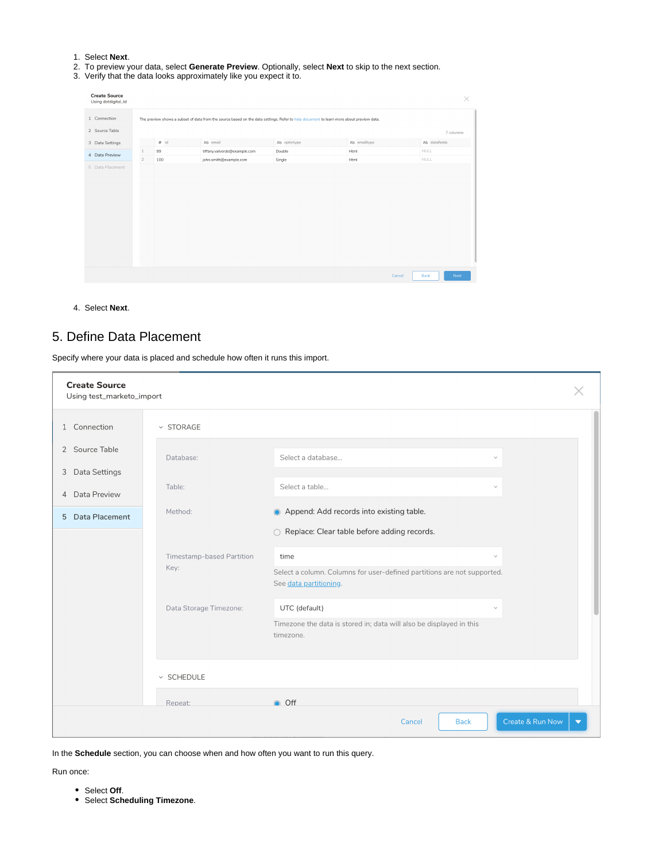- 1. Select **Next**.
- 2. To preview your data, select **Generate Preview**. Optionally, select **Next** to skip to the next section.
- 3. Verify that the data looks approximately like you expect it to.

| <b>Create Source</b><br>Using dotdigital_td |                |        |                                                                                                                                         |              |              | $\times$               |
|---------------------------------------------|----------------|--------|-----------------------------------------------------------------------------------------------------------------------------------------|--------------|--------------|------------------------|
| 1 Connection                                |                |        | The preview shows a subset of data from the source based on the data settings. Refer to help document to learn more about preview data. |              |              |                        |
| 2 Source Table                              |                |        |                                                                                                                                         |              |              | 7 columns              |
| 3 Data Settings                             |                | $#$ id | Ab email                                                                                                                                | Ab optintype | Ab emailtype | Ab datafields          |
| 4 Data Preview                              | $1\,$          | 99     | tiffany.valverde@example.com                                                                                                            | Double       | Html         | <b>NULL</b>            |
|                                             | $\overline{2}$ | 100    | john.smith@example.com                                                                                                                  | Single       | Html         | <b>NULL</b>            |
|                                             |                |        |                                                                                                                                         |              |              |                        |
|                                             |                |        |                                                                                                                                         |              |              | Back<br>Cancel<br>Next |

4. Select **Next**.

### <span id="page-4-0"></span>5. Define Data Placement

Specify where your data is placed and schedule how often it runs this import.

| <b>Create Source</b><br>Using test_marketo_import |                           |                                                                                                   |  |
|---------------------------------------------------|---------------------------|---------------------------------------------------------------------------------------------------|--|
| 1 Connection                                      | <b>v STORAGE</b>          |                                                                                                   |  |
| 2 Source Table                                    | Database:                 | Select a database<br>$\checkmark$                                                                 |  |
| Data Settings<br>3                                | Table:                    | Select a table<br>$\checkmark$                                                                    |  |
| Data Preview<br>$\overline{4}$                    | Method:                   | Append: Add records into existing table.                                                          |  |
| 5 Data Placement                                  |                           | ○ Replace: Clear table before adding records.                                                     |  |
|                                                   | Timestamp-based Partition | time<br>$\checkmark$                                                                              |  |
|                                                   | Key:                      | Select a column. Columns for user-defined partitions are not supported.<br>See data partitioning. |  |
|                                                   | Data Storage Timezone:    | UTC (default)<br>$\checkmark$                                                                     |  |
|                                                   |                           | Timezone the data is stored in; data will also be displayed in this<br>timezone.                  |  |
|                                                   | $\times$ SCHEDULE         |                                                                                                   |  |
|                                                   | Repeat:                   | O Off                                                                                             |  |
|                                                   |                           | Create & Run Now<br><b>Back</b><br>Cancel                                                         |  |

In the **Schedule** section, you can choose when and how often you want to run this query.

Run once:

- Select **Off**.
- Select **Scheduling Timezone**.